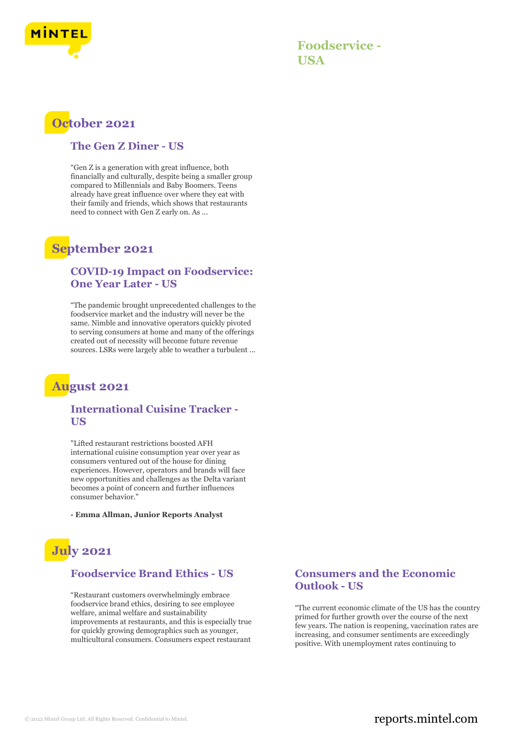

**Foodservice - USA**

# **October 2021**

#### **The Gen Z Diner - US**

"Gen Z is a generation with great influence, both financially and culturally, despite being a smaller group compared to Millennials and Baby Boomers. Teens already have great influence over where they eat with their family and friends, which shows that restaurants need to connect with Gen Z early on. As ...

# **September 2021**

### **COVID-19 Impact on Foodservice: One Year Later - US**

"The pandemic brought unprecedented challenges to the foodservice market and the industry will never be the same. Nimble and innovative operators quickly pivoted to serving consumers at home and many of the offerings created out of necessity will become future revenue sources. LSRs were largely able to weather a turbulent ...

## **August 2021**

### **International Cuisine Tracker - US**

"Lifted restaurant restrictions boosted AFH international cuisine consumption year over year as consumers ventured out of the house for dining experiences. However, operators and brands will face new opportunities and challenges as the Delta variant becomes a point of concern and further influences consumer behavior."

**- Emma Allman, Junior Reports Analyst**

# **July 2021**

## **Foodservice Brand Ethics - US**

"Restaurant customers overwhelmingly embrace foodservice brand ethics, desiring to see employee welfare, animal welfare and sustainability improvements at restaurants, and this is especially true for quickly growing demographics such as younger, multicultural consumers. Consumers expect restaurant

### **Consumers and the Economic Outlook - US**

"The current economic climate of the US has the country primed for further growth over the course of the next few years. The nation is reopening, vaccination rates are increasing, and consumer sentiments are exceedingly positive. With unemployment rates continuing to

## © 2022 Mintel Group Ltd. All Rights Reserved. Confidential to Mintel.  $\blacksquare$  reports.mintel.com